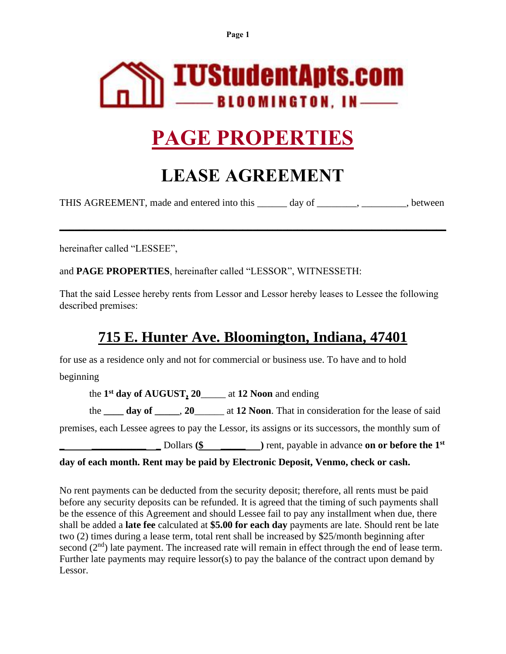**Page 1**

# **IUStudentApts.com BLOOMINGTON.IN---**

## **PAGE PROPERTIES**

## **LEASE AGREEMENT**

THIS AGREEMENT, made and entered into this \_\_\_\_\_\_ day of \_\_\_\_\_\_\_\_, \_\_\_\_\_\_\_\_, between

**\_\_\_\_\_\_\_\_\_\_\_\_\_\_\_\_\_\_\_\_\_\_\_\_\_\_\_\_\_\_\_\_\_\_\_\_\_\_\_\_\_\_\_\_\_\_\_\_\_\_\_\_\_\_\_\_\_\_\_\_\_\_\_\_\_\_\_\_\_\_\_\_\_\_\_\_\_\_**

hereinafter called "LESSEE",

and **PAGE PROPERTIES**, hereinafter called "LESSOR", WITNESSETH:

That the said Lessee hereby rents from Lessor and Lessor hereby leases to Lessee the following described premises:

### **715 E. Hunter Ave. Bloomington, Indiana, 47401**

for use as a residence only and not for commercial or business use. To have and to hold

beginning

the **1 st day of AUGUST, 20**\_\_\_\_\_ at **12 Noon** and ending

the **\_\_\_\_ day of \_\_\_\_\_**, **20**\_\_\_\_\_\_ at **12 Noon**. That in consideration for the lease of said

premises, each Lessee agrees to pay the Lessor, its assigns or its successors, the monthly sum of

**\_ \_\_\_\_\_\_\_\_\_\_\_ \_** Dollars **(\$ \_\_\_\_\_ )** rent, payable in advance **on or before the 1st**

#### **day of each month. Rent may be paid by Electronic Deposit, Venmo, check or cash.**

No rent payments can be deducted from the security deposit; therefore, all rents must be paid before any security deposits can be refunded. It is agreed that the timing of such payments shall be the essence of this Agreement and should Lessee fail to pay any installment when due, there shall be added a **late fee** calculated at **\$5.00 for each day** payments are late. Should rent be late two (2) times during a lease term, total rent shall be increased by \$25/month beginning after second  $(2<sup>nd</sup>)$  late payment. The increased rate will remain in effect through the end of lease term. Further late payments may require lessor(s) to pay the balance of the contract upon demand by Lessor.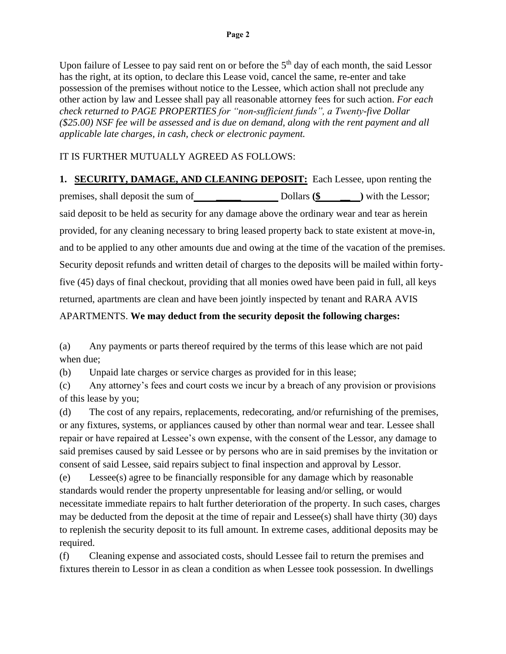Upon failure of Lessee to pay said rent on or before the 5<sup>th</sup> day of each month, the said Lessor has the right, at its option, to declare this Lease void, cancel the same, re-enter and take possession of the premises without notice to the Lessee, which action shall not preclude any other action by law and Lessee shall pay all reasonable attorney fees for such action. *For each check returned to PAGE PROPERTIES for "non-sufficient funds", a Twenty-five Dollar (\$25.00) NSF fee will be assessed and is due on demand, along with the rent payment and all applicable late charges, in cash, check or electronic payment.* 

#### IT IS FURTHER MUTUALLY AGREED AS FOLLOWS:

**1. SECURITY, DAMAGE, AND CLEANING DEPOSIT:** Each Lessee, upon renting the premises, shall deposit the sum of Dollars **(\$**  $\qquad$  ) with the Lessor; said deposit to be held as security for any damage above the ordinary wear and tear as herein provided, for any cleaning necessary to bring leased property back to state existent at move-in, and to be applied to any other amounts due and owing at the time of the vacation of the premises. Security deposit refunds and written detail of charges to the deposits will be mailed within fortyfive (45) days of final checkout, providing that all monies owed have been paid in full, all keys returned, apartments are clean and have been jointly inspected by tenant and RARA AVIS APARTMENTS. **We may deduct from the security deposit the following charges:**

(a) Any payments or parts thereof required by the terms of this lease which are not paid when due;

(b) Unpaid late charges or service charges as provided for in this lease;

(c) Any attorney's fees and court costs we incur by a breach of any provision or provisions of this lease by you;

(d) The cost of any repairs, replacements, redecorating, and/or refurnishing of the premises, or any fixtures, systems, or appliances caused by other than normal wear and tear. Lessee shall repair or have repaired at Lessee's own expense, with the consent of the Lessor, any damage to said premises caused by said Lessee or by persons who are in said premises by the invitation or consent of said Lessee, said repairs subject to final inspection and approval by Lessor.

(e) Lessee(s) agree to be financially responsible for any damage which by reasonable standards would render the property unpresentable for leasing and/or selling, or would necessitate immediate repairs to halt further deterioration of the property. In such cases, charges may be deducted from the deposit at the time of repair and Lessee(s) shall have thirty (30) days to replenish the security deposit to its full amount. In extreme cases, additional deposits may be required.

(f) Cleaning expense and associated costs, should Lessee fail to return the premises and fixtures therein to Lessor in as clean a condition as when Lessee took possession. In dwellings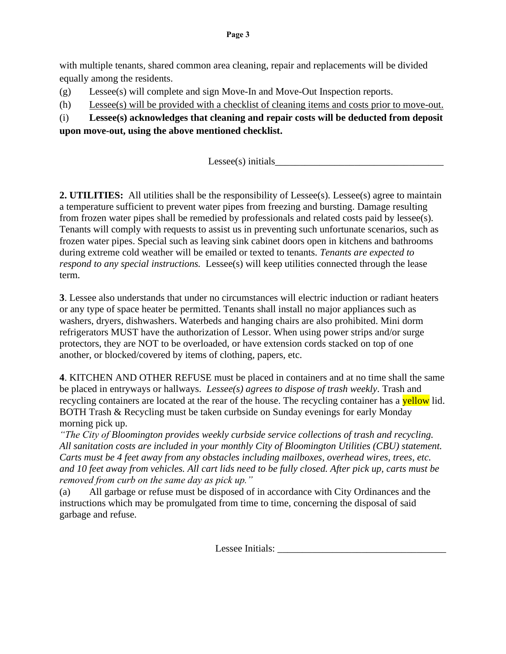with multiple tenants, shared common area cleaning, repair and replacements will be divided equally among the residents.

- (g) Lessee(s) will complete and sign Move-In and Move-Out Inspection reports.
- (h) Lessee(s) will be provided with a checklist of cleaning items and costs prior to move-out.

#### (i) **Lessee(s) acknowledges that cleaning and repair costs will be deducted from deposit upon move-out, using the above mentioned checklist.**

 $L$ essee(s) initials

**2. UTILITIES:** All utilities shall be the responsibility of Lessee(s). Lessee(s) agree to maintain a temperature sufficient to prevent water pipes from freezing and bursting. Damage resulting from frozen water pipes shall be remedied by professionals and related costs paid by lessee(s). Tenants will comply with requests to assist us in preventing such unfortunate scenarios, such as frozen water pipes. Special such as leaving sink cabinet doors open in kitchens and bathrooms during extreme cold weather will be emailed or texted to tenants. *Tenants are expected to respond to any special instructions.* Lessee(s) will keep utilities connected through the lease term.

**3**. Lessee also understands that under no circumstances will electric induction or radiant heaters or any type of space heater be permitted. Tenants shall install no major appliances such as washers, dryers, dishwashers. Waterbeds and hanging chairs are also prohibited. Mini dorm refrigerators MUST have the authorization of Lessor. When using power strips and/or surge protectors, they are NOT to be overloaded, or have extension cords stacked on top of one another, or blocked/covered by items of clothing, papers, etc.

**4**. KITCHEN AND OTHER REFUSE must be placed in containers and at no time shall the same be placed in entryways or hallways. *Lessee(s) agrees to dispose of trash weekly*. Trash and recycling containers are located at the rear of the house. The recycling container has a vellow lid. BOTH Trash & Recycling must be taken curbside on Sunday evenings for early Monday morning pick up.

*"The City of Bloomington provides weekly curbside service collections of trash and recycling. All sanitation costs are included in your monthly City of Bloomington Utilities (CBU) statement. Carts must be 4 feet away from any obstacles including mailboxes, overhead wires, trees, etc. and 10 feet away from vehicles. All cart lids need to be fully closed. After pick up, carts must be removed from curb on the same day as pick up."*

(a) All garbage or refuse must be disposed of in accordance with City Ordinances and the instructions which may be promulgated from time to time, concerning the disposal of said garbage and refuse.

Lessee Initials: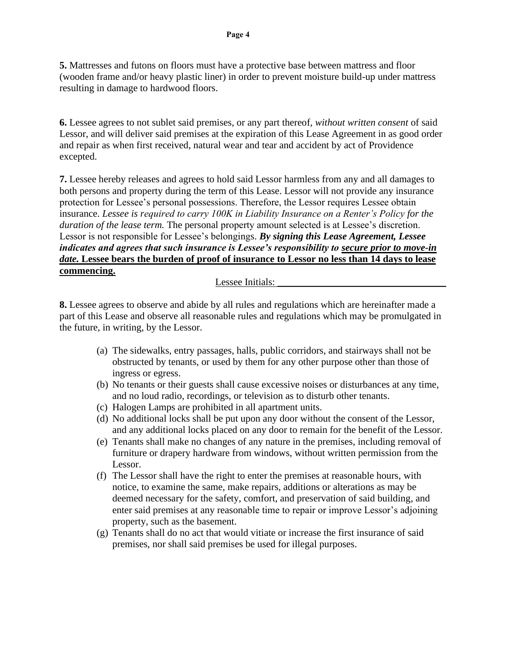**6.** Lessee agrees to not sublet said premises, or any part thereof, *without written consent* of said Lessor, and will deliver said premises at the expiration of this Lease Agreement in as good order and repair as when first received, natural wear and tear and accident by act of Providence excepted.

**7.** Lessee hereby releases and agrees to hold said Lessor harmless from any and all damages to both persons and property during the term of this Lease. Lessor will not provide any insurance protection for Lessee's personal possessions. Therefore, the Lessor requires Lessee obtain insurance. *Lessee is required to carry 100K in Liability Insurance on a Renter's Policy for the duration of the lease term.* The personal property amount selected is at Lessee's discretion. Lessor is not responsible for Lessee's belongings. *By signing this Lease Agreement, Lessee indicates and agrees that such insurance is Lessee's responsibility to secure prior to move-in date.* **Lessee bears the burden of proof of insurance to Lessor no less than 14 days to lease commencing.**

#### Lessee Initials:

**8.** Lessee agrees to observe and abide by all rules and regulations which are hereinafter made a part of this Lease and observe all reasonable rules and regulations which may be promulgated in the future, in writing, by the Lessor.

- (a) The sidewalks, entry passages, halls, public corridors, and stairways shall not be obstructed by tenants, or used by them for any other purpose other than those of ingress or egress.
- (b) No tenants or their guests shall cause excessive noises or disturbances at any time, and no loud radio, recordings, or television as to disturb other tenants.
- (c) Halogen Lamps are prohibited in all apartment units.
- (d) No additional locks shall be put upon any door without the consent of the Lessor, and any additional locks placed on any door to remain for the benefit of the Lessor.
- (e) Tenants shall make no changes of any nature in the premises, including removal of furniture or drapery hardware from windows, without written permission from the Lessor.
- (f) The Lessor shall have the right to enter the premises at reasonable hours, with notice, to examine the same, make repairs, additions or alterations as may be deemed necessary for the safety, comfort, and preservation of said building, and enter said premises at any reasonable time to repair or improve Lessor's adjoining property, such as the basement.
- (g) Tenants shall do no act that would vitiate or increase the first insurance of said premises, nor shall said premises be used for illegal purposes.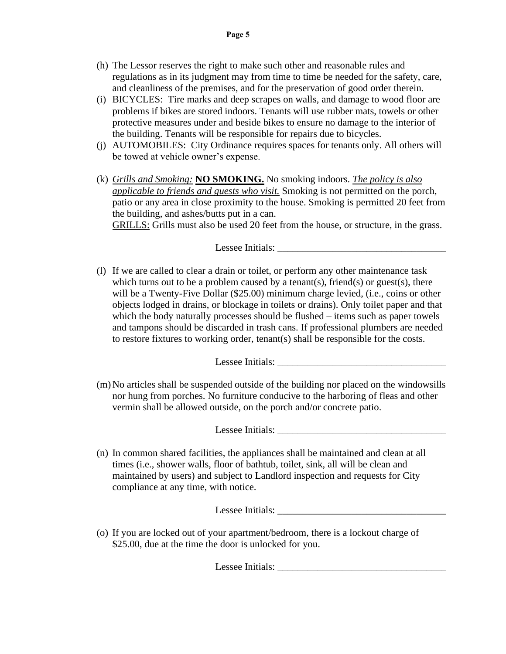- (i) BICYCLES: Tire marks and deep scrapes on walls, and damage to wood floor are problems if bikes are stored indoors. Tenants will use rubber mats, towels or other protective measures under and beside bikes to ensure no damage to the interior of the building. Tenants will be responsible for repairs due to bicycles.
- (j) AUTOMOBILES: City Ordinance requires spaces for tenants only. All others will be towed at vehicle owner's expense.
- (k) *Grills and Smoking:* **NO SMOKING.** No smoking indoors. *The policy is also applicable to friends and guests who visit.* Smoking is not permitted on the porch, patio or any area in close proximity to the house. Smoking is permitted 20 feet from the building, and ashes/butts put in a can. GRILLS: Grills must also be used 20 feet from the house, or structure, in the grass.

Lessee Initials:

(l) If we are called to clear a drain or toilet, or perform any other maintenance task which turns out to be a problem caused by a tenant(s), friend(s) or guest(s), there will be a Twenty-Five Dollar (\$25.00) minimum charge levied, (i.e., coins or other objects lodged in drains, or blockage in toilets or drains). Only toilet paper and that which the body naturally processes should be flushed – items such as paper towels and tampons should be discarded in trash cans. If professional plumbers are needed to restore fixtures to working order, tenant(s) shall be responsible for the costs.

Lessee Initials:

(m)No articles shall be suspended outside of the building nor placed on the windowsills nor hung from porches. No furniture conducive to the harboring of fleas and other vermin shall be allowed outside, on the porch and/or concrete patio.

Lessee Initials: \_\_\_\_\_\_\_\_\_\_\_\_\_\_\_\_\_\_\_\_\_\_\_\_\_\_\_\_\_\_\_\_\_\_

(n) In common shared facilities, the appliances shall be maintained and clean at all times (i.e., shower walls, floor of bathtub, toilet, sink, all will be clean and maintained by users) and subject to Landlord inspection and requests for City compliance at any time, with notice.

Lessee Initials:

(o) If you are locked out of your apartment/bedroom, there is a lockout charge of \$25.00, due at the time the door is unlocked for you.

Lessee Initials: \_\_\_\_\_\_\_\_\_\_\_\_\_\_\_\_\_\_\_\_\_\_\_\_\_\_\_\_\_\_\_\_\_\_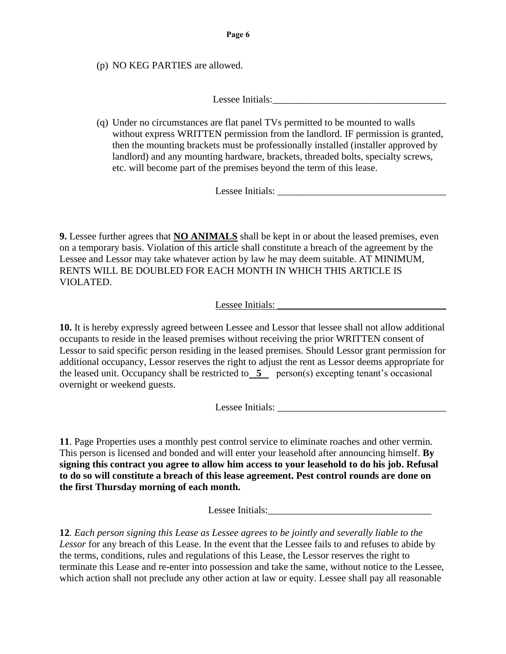(p) NO KEG PARTIES are allowed.

Lessee Initials:

(q) Under no circumstances are flat panel TVs permitted to be mounted to walls without express WRITTEN permission from the landlord. IF permission is granted, then the mounting brackets must be professionally installed (installer approved by landlord) and any mounting hardware, brackets, threaded bolts, specialty screws, etc. will become part of the premises beyond the term of this lease.

Lessee Initials:

**9.** Lessee further agrees that **NO ANIMALS** shall be kept in or about the leased premises, even on a temporary basis. Violation of this article shall constitute a breach of the agreement by the Lessee and Lessor may take whatever action by law he may deem suitable. AT MINIMUM, RENTS WILL BE DOUBLED FOR EACH MONTH IN WHICH THIS ARTICLE IS VIOLATED.

Lessee Initials:

**10.** It is hereby expressly agreed between Lessee and Lessor that lessee shall not allow additional occupants to reside in the leased premises without receiving the prior WRITTEN consent of Lessor to said specific person residing in the leased premises. Should Lessor grant permission for additional occupancy, Lessor reserves the right to adjust the rent as Lessor deems appropriate for the leased unit. Occupancy shall be restricted to  $5$  person(s) excepting tenant's occasional overnight or weekend guests.

Lessee Initials: \_\_\_\_\_\_\_\_\_\_\_\_\_\_\_\_\_\_\_\_\_\_\_\_\_\_\_\_\_\_\_\_\_\_

**11**. Page Properties uses a monthly pest control service to eliminate roaches and other vermin. This person is licensed and bonded and will enter your leasehold after announcing himself. **By signing this contract you agree to allow him access to your leasehold to do his job. Refusal to do so will constitute a breach of this lease agreement. Pest control rounds are done on the first Thursday morning of each month.**

Lessee Initials:

**12***. Each person signing this Lease as Lessee agrees to be jointly and severally liable to the Lessor* for any breach of this Lease. In the event that the Lessee fails to and refuses to abide by the terms, conditions, rules and regulations of this Lease, the Lessor reserves the right to terminate this Lease and re-enter into possession and take the same, without notice to the Lessee, which action shall not preclude any other action at law or equity. Lessee shall pay all reasonable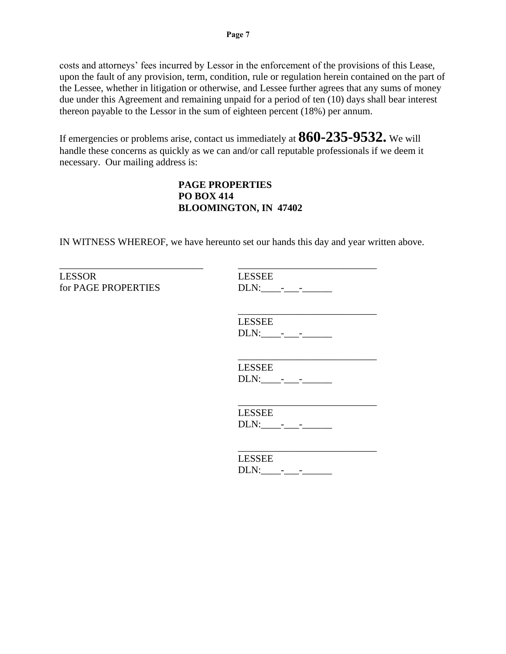costs and attorneys' fees incurred by Lessor in the enforcement of the provisions of this Lease, upon the fault of any provision, term, condition, rule or regulation herein contained on the part of the Lessee, whether in litigation or otherwise, and Lessee further agrees that any sums of money due under this Agreement and remaining unpaid for a period of ten (10) days shall bear interest thereon payable to the Lessor in the sum of eighteen percent (18%) per annum.

If emergencies or problems arise, contact us immediately at **860-235-9532.** We will handle these concerns as quickly as we can and/or call reputable professionals if we deem it necessary. Our mailing address is:

#### **PAGE PROPERTIES PO BOX 414 BLOOMINGTON, IN 47402**

IN WITNESS WHEREOF, we have hereunto set our hands this day and year written above.

LESSOR LESSEE for PAGE PROPERTIES DLN:\_\_\_\_-\_\_\_-\_\_\_\_\_\_

\_\_\_\_\_\_\_\_\_\_\_\_\_\_\_\_\_\_\_\_\_\_\_\_\_\_\_\_\_ \_\_\_\_\_\_\_\_\_\_\_\_\_\_\_\_\_\_\_\_\_\_\_\_\_\_\_\_

\_\_\_\_\_\_\_\_\_\_\_\_\_\_\_\_\_\_\_\_\_\_\_\_\_\_\_\_

LESSEE DLN:\_\_\_\_-\_\_\_-\_\_\_\_\_\_

\_\_\_\_\_\_\_\_\_\_\_\_\_\_\_\_\_\_\_\_\_\_\_\_\_\_\_\_ LESSEE DLN:\_\_\_\_-\_\_\_-\_\_\_\_\_\_

| <b>LESSEE</b> |  |  |  |
|---------------|--|--|--|
| DLN:          |  |  |  |

LESSEE DLN:\_\_\_\_-\_\_\_-\_\_\_\_\_\_

\_\_\_\_\_\_\_\_\_\_\_\_\_\_\_\_\_\_\_\_\_\_\_\_\_\_\_\_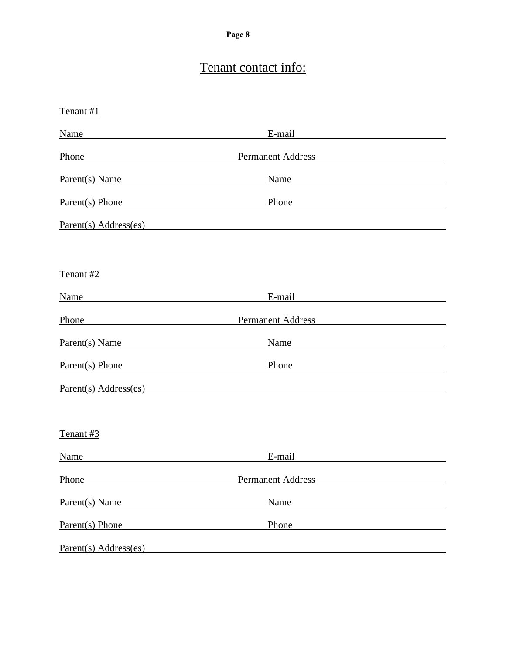#### **Page 8**

### Tenant contact info:

| Tenant #1             |                                                                       |  |  |
|-----------------------|-----------------------------------------------------------------------|--|--|
| Name                  | E-mail                                                                |  |  |
| Phone                 | <b>Permanent Address</b>                                              |  |  |
| Parent(s) Name        | Name                                                                  |  |  |
| Parent(s) Phone       | Phone                                                                 |  |  |
| Parent(s) Address(es) | <u> 1980 - Johann John Stone, markin f</u>                            |  |  |
|                       |                                                                       |  |  |
| Tenant #2             |                                                                       |  |  |
| Name                  | E-mail                                                                |  |  |
| Phone                 | <b>Permanent Address</b>                                              |  |  |
| Parent(s) Name        | Name<br><u> 1980 - Johann Barn, fransk politik fotograf (d. 1980)</u> |  |  |
| Parent(s) Phone       | Phone<br><u> 1980 - Johann Barbara, martin a</u>                      |  |  |
| Parent(s) Address(es) |                                                                       |  |  |
|                       |                                                                       |  |  |
| Tenant #3             |                                                                       |  |  |
| Name                  | E-mail                                                                |  |  |
| Phone                 | <b>Permanent Address</b>                                              |  |  |
| Parent(s) Name        | Name                                                                  |  |  |
| Parent(s) Phone       | Phone                                                                 |  |  |
| Parent(s) Address(es) |                                                                       |  |  |